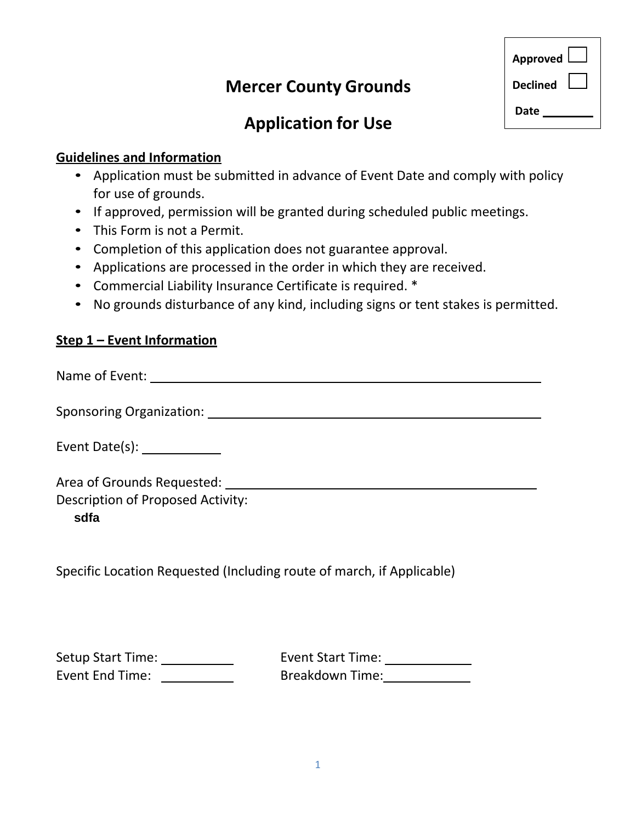# **Mercer County Grounds**

| Approved        |  |
|-----------------|--|
| <b>Declined</b> |  |
| Date            |  |

# **Application for Use**

#### **Guidelines and Information**

- Application must be submitted in advance of Event Date and comply with policy for use of grounds.
- If approved, permission will be granted during scheduled public meetings.
- This Form is not a Permit.
- Completion of this application does not guarantee approval.
- Applications are processed in the order in which they are received.
- Commercial Liability Insurance Certificate is required. \*
- No grounds disturbance of any kind, including signs or tent stakes is permitted.

### **Step 1 – Event Information**

Name of Event:

Sponsoring Organization: Channel Control of the Channel Control of the Channel Channel Channel Channel Channel Channel Channel Channel Channel Channel Channel Channel Channel Channel Channel Channel Channel Channel Channel

Event Date(s): \_\_\_\_\_\_\_\_

Area of Grounds Requested:

Description of Proposed Activity:

**sdfa**

Specific Location Requested (Including route of march, if Applicable)

Setup Start Time: \_\_\_\_\_\_\_\_\_\_\_ Event End Time:

Event Start Time: Breakdown Time: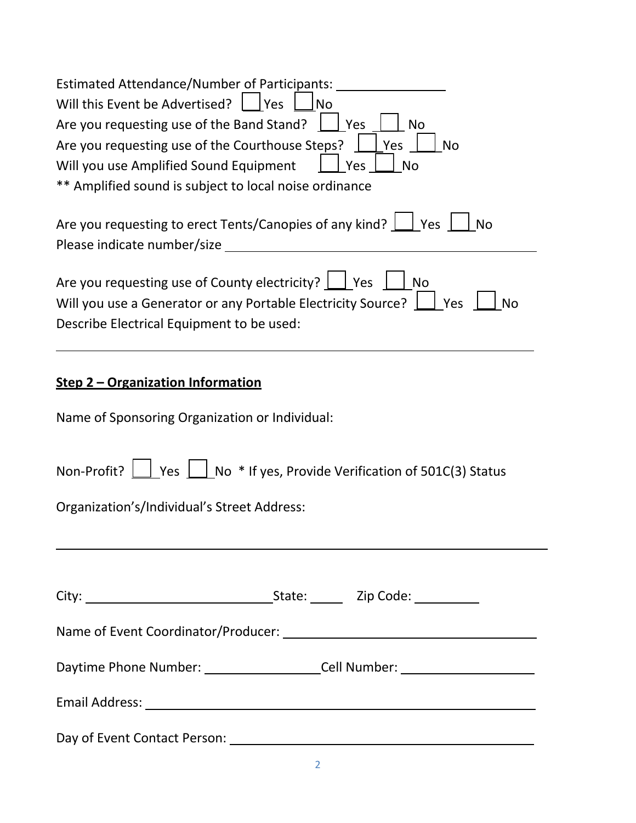| <b>Estimated Attendance/Number of Participants:</b>                                                                                                                                                                                                     |  |  |                                                                                                                                                                                                            |  |  |
|---------------------------------------------------------------------------------------------------------------------------------------------------------------------------------------------------------------------------------------------------------|--|--|------------------------------------------------------------------------------------------------------------------------------------------------------------------------------------------------------------|--|--|
| Will this Event be Advertised?<br>Yes<br><b>No</b>                                                                                                                                                                                                      |  |  |                                                                                                                                                                                                            |  |  |
| Are you requesting use of the Band Stand?<br>  Yes<br>No<br>Are you requesting use of the Courthouse Steps?<br><b>No</b><br>Yes<br>Will you use Amplified Sound Equipment<br><b>No</b><br>Yes<br>** Amplified sound is subject to local noise ordinance |  |  |                                                                                                                                                                                                            |  |  |
|                                                                                                                                                                                                                                                         |  |  | Are you requesting to erect Tents/Canopies of any kind?   Yes<br><b>No</b>                                                                                                                                 |  |  |
|                                                                                                                                                                                                                                                         |  |  | Please indicate number/size ____                                                                                                                                                                           |  |  |
|                                                                                                                                                                                                                                                         |  |  | Are you requesting use of County electricity? $\Box$ Yes<br><b>No</b><br>Will you use a Generator or any Portable Electricity Source?<br>$ $ Yes<br><b>No</b><br>Describe Electrical Equipment to be used: |  |  |
| Step 2 – Organization Information                                                                                                                                                                                                                       |  |  |                                                                                                                                                                                                            |  |  |
| Name of Sponsoring Organization or Individual:                                                                                                                                                                                                          |  |  |                                                                                                                                                                                                            |  |  |
| Non-Profit? $\boxed{\phantom{a}}$ Yes $\boxed{\phantom{a}}$ No * If yes, Provide Verification of 501C(3) Status                                                                                                                                         |  |  |                                                                                                                                                                                                            |  |  |
| Organization's/Individual's Street Address:                                                                                                                                                                                                             |  |  |                                                                                                                                                                                                            |  |  |
|                                                                                                                                                                                                                                                         |  |  |                                                                                                                                                                                                            |  |  |
|                                                                                                                                                                                                                                                         |  |  |                                                                                                                                                                                                            |  |  |
|                                                                                                                                                                                                                                                         |  |  |                                                                                                                                                                                                            |  |  |
| Daytime Phone Number: _______________________Cell Number: ______________________                                                                                                                                                                        |  |  |                                                                                                                                                                                                            |  |  |
|                                                                                                                                                                                                                                                         |  |  |                                                                                                                                                                                                            |  |  |
|                                                                                                                                                                                                                                                         |  |  |                                                                                                                                                                                                            |  |  |